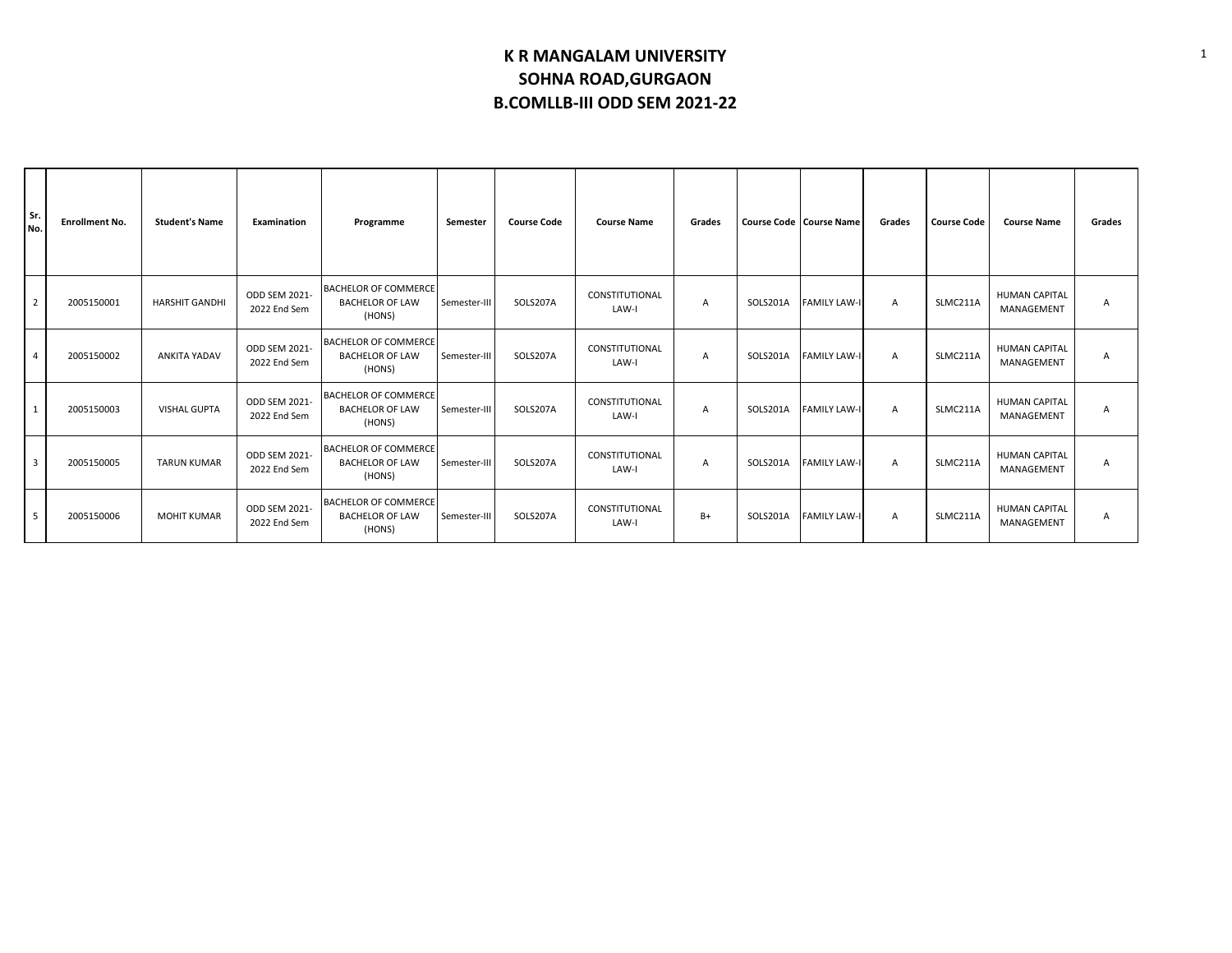| Sr.<br>No.     | <b>Enrollment No.</b> | <b>Student's Name</b> | Examination                   | Programme                                                       | Semester     | <b>Course Code</b> | <b>Course Name</b>      | Grades         |          | <b>Course Code   Course Name</b> | Grades         | <b>Course Code</b> | <b>Course Name</b>                 | Grades |
|----------------|-----------------------|-----------------------|-------------------------------|-----------------------------------------------------------------|--------------|--------------------|-------------------------|----------------|----------|----------------------------------|----------------|--------------------|------------------------------------|--------|
| $\overline{2}$ | 2005150001            | <b>HARSHIT GANDHI</b> | ODD SEM 2021-<br>2022 End Sem | <b>BACHELOR OF COMMERCE</b><br><b>BACHELOR OF LAW</b><br>(HONS) | Semester-III | SOLS207A           | CONSTITUTIONAL<br>LAW-I | $\overline{A}$ | SOLS201A | <b>FAMILY LAW-I</b>              | $\overline{A}$ | SLMC211A           | <b>HUMAN CAPITAL</b><br>MANAGEMENT | A      |
| 4              | 2005150002            | <b>ANKITA YADAV</b>   | ODD SEM 2021-<br>2022 End Sem | <b>BACHELOR OF COMMERCE</b><br><b>BACHELOR OF LAW</b><br>(HONS) | Semester-III | SOLS207A           | CONSTITUTIONAL<br>LAW-I | $\overline{A}$ | SOLS201A | <b>FAMILY LAW-I</b>              | $\overline{A}$ | SLMC211A           | <b>HUMAN CAPITAL</b><br>MANAGEMENT | A      |
| 1              | 2005150003            | <b>VISHAL GUPTA</b>   | ODD SEM 2021-<br>2022 End Sem | <b>BACHELOR OF COMMERCE</b><br><b>BACHELOR OF LAW</b><br>(HONS) | Semester-III | SOLS207A           | CONSTITUTIONAL<br>LAW-I | A              | SOLS201A | <b>FAMILY LAW-I</b>              | A              | SLMC211A           | <b>HUMAN CAPITAL</b><br>MANAGEMENT | A      |
| $\overline{3}$ | 2005150005            | <b>TARUN KUMAR</b>    | ODD SEM 2021-<br>2022 End Sem | <b>BACHELOR OF COMMERCE</b><br><b>BACHELOR OF LAW</b><br>(HONS) | Semester-III | SOLS207A           | CONSTITUTIONAL<br>LAW-I | $\overline{A}$ | SOLS201A | <b>FAMILY LAW-I</b>              | $\overline{A}$ | SLMC211A           | <b>HUMAN CAPITAL</b><br>MANAGEMENT | A      |
| 5              | 2005150006            | <b>MOHIT KUMAR</b>    | ODD SEM 2021-<br>2022 End Sem | <b>BACHELOR OF COMMERCE</b><br><b>BACHELOR OF LAW</b><br>(HONS) | Semester-III | SOLS207A           | CONSTITUTIONAL<br>LAW-I | B+             | SOLS201A | <b>FAMILY LAW-I</b>              | $\overline{A}$ | SLMC211A           | <b>HUMAN CAPITAL</b><br>MANAGEMENT | A      |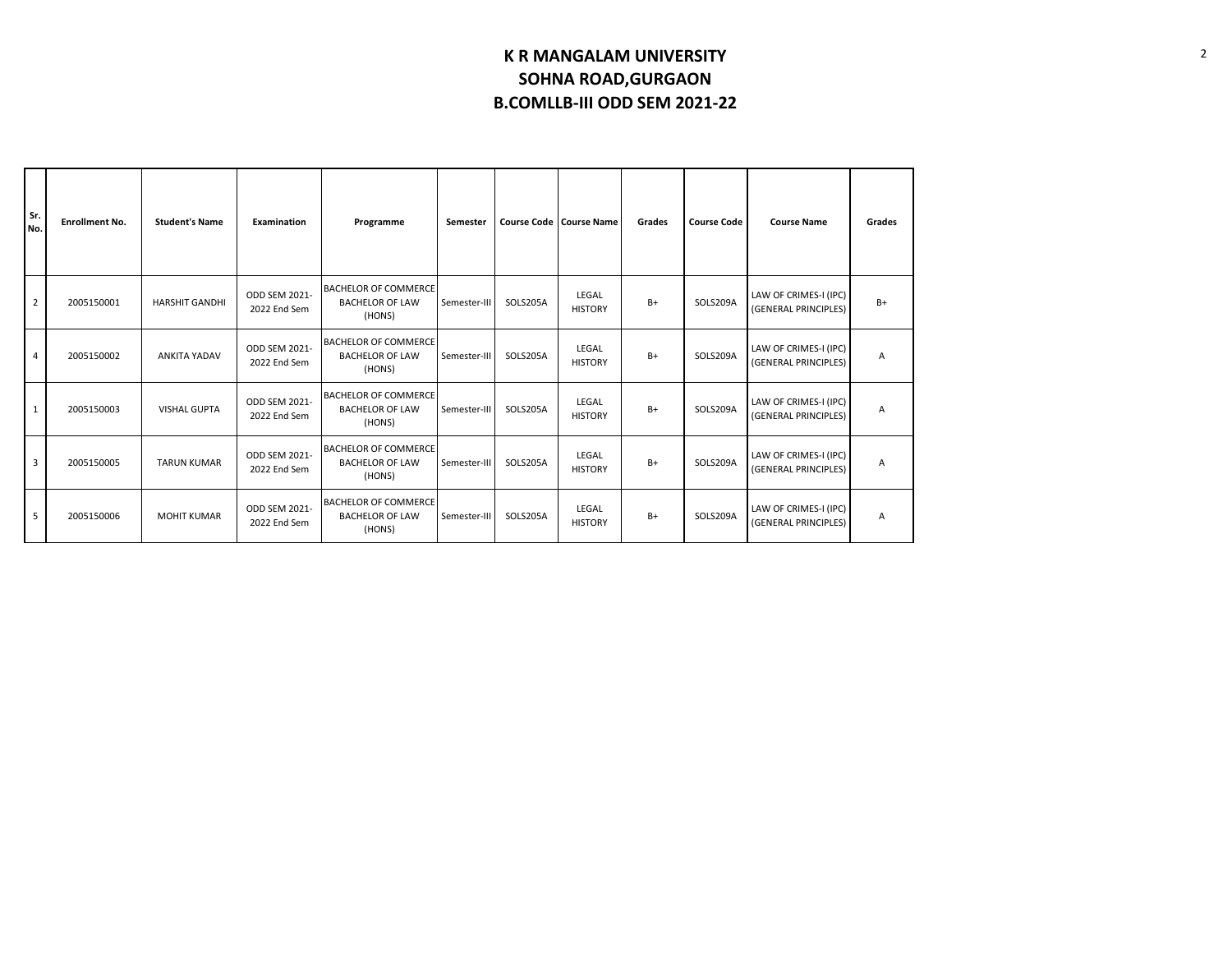| Sr.<br>No.     | <b>Enrollment No.</b> | <b>Student's Name</b> | Examination                   | Programme                                                       | Semester     |          | <b>Course Code   Course Name</b> | Grades | <b>Course Code</b> | <b>Course Name</b>                            | Grades |
|----------------|-----------------------|-----------------------|-------------------------------|-----------------------------------------------------------------|--------------|----------|----------------------------------|--------|--------------------|-----------------------------------------------|--------|
| $\overline{2}$ | 2005150001            | <b>HARSHIT GANDHI</b> | ODD SEM 2021-<br>2022 End Sem | <b>BACHELOR OF COMMERCE</b><br><b>BACHELOR OF LAW</b><br>(HONS) | Semester-III | SOLS205A | LEGAL<br><b>HISTORY</b>          | $B+$   | SOLS209A           | LAW OF CRIMES-I (IPC)<br>(GENERAL PRINCIPLES) | $B+$   |
| 4              | 2005150002            | <b>ANKITA YADAV</b>   | ODD SEM 2021-<br>2022 End Sem | <b>BACHELOR OF COMMERCE</b><br><b>BACHELOR OF LAW</b><br>(HONS) | Semester-III | SOLS205A | LEGAL<br><b>HISTORY</b>          | $B+$   | SOLS209A           | LAW OF CRIMES-I (IPC)<br>(GENERAL PRINCIPLES) | Α      |
| $\mathbf{1}$   | 2005150003            | <b>VISHAL GUPTA</b>   | ODD SEM 2021-<br>2022 End Sem | <b>BACHELOR OF COMMERCE</b><br><b>BACHELOR OF LAW</b><br>(HONS) | Semester-III | SOLS205A | LEGAL<br><b>HISTORY</b>          | $B+$   | SOLS209A           | LAW OF CRIMES-I (IPC)<br>(GENERAL PRINCIPLES) | А      |
| 3              | 2005150005            | <b>TARUN KUMAR</b>    | ODD SEM 2021-<br>2022 End Sem | <b>BACHELOR OF COMMERCE</b><br><b>BACHELOR OF LAW</b><br>(HONS) | Semester-III | SOLS205A | LEGAL<br><b>HISTORY</b>          | $B+$   | SOLS209A           | LAW OF CRIMES-I (IPC)<br>(GENERAL PRINCIPLES) | Α      |
| 5              | 2005150006            | <b>MOHIT KUMAR</b>    | ODD SEM 2021-<br>2022 End Sem | <b>BACHELOR OF COMMERCE</b><br><b>BACHELOR OF LAW</b><br>(HONS) | Semester-III | SOLS205A | LEGAL<br><b>HISTORY</b>          | $B+$   | SOLS209A           | LAW OF CRIMES-I (IPC)<br>(GENERAL PRINCIPLES) | А      |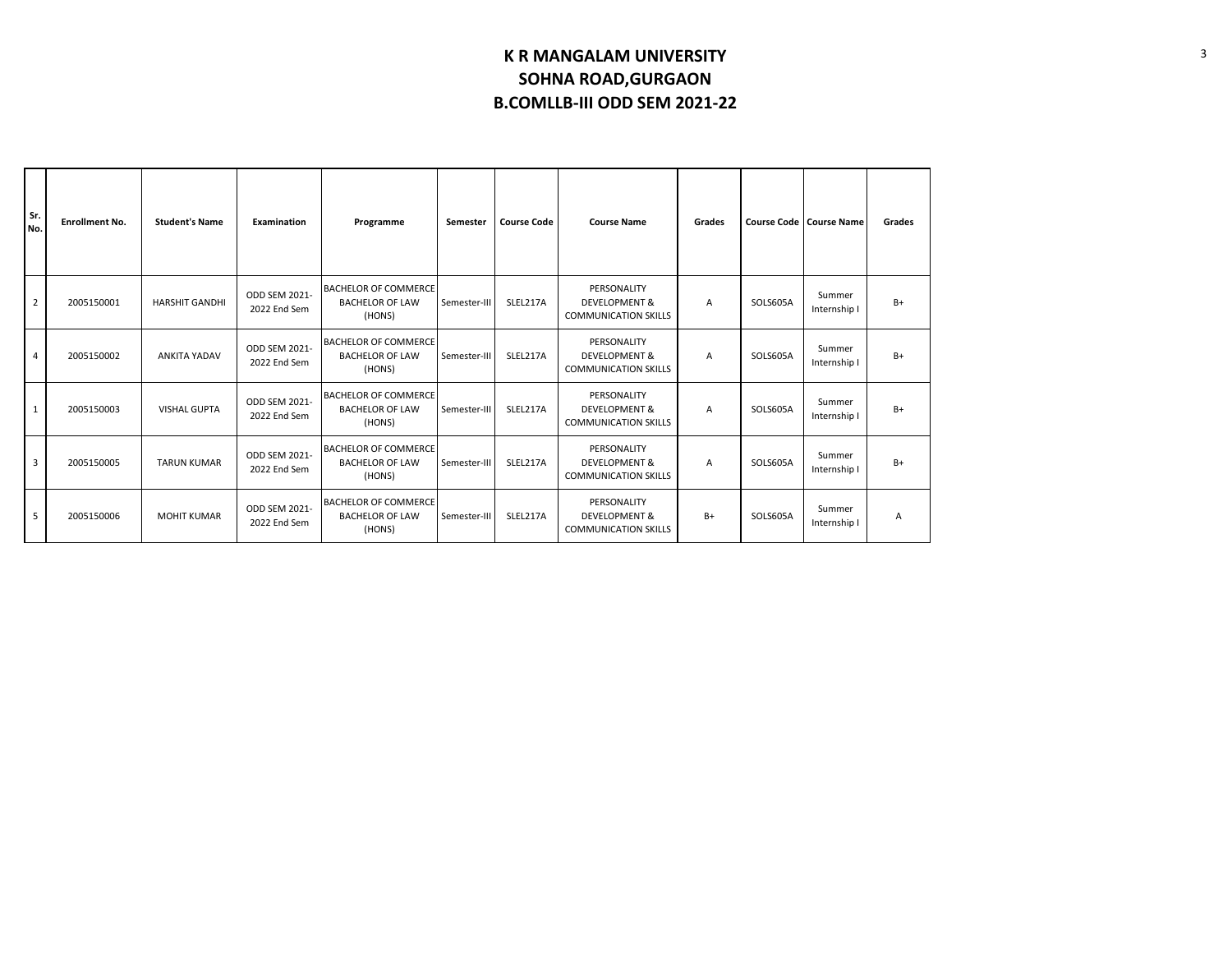| Sr.<br>No.     | <b>Enrollment No.</b> | <b>Student's Name</b> | Examination                          | Programme                                                       | Semester     | <b>Course Code</b> | <b>Course Name</b>                                                     | Grades |          | <b>Course Code   Course Name</b> | Grades |
|----------------|-----------------------|-----------------------|--------------------------------------|-----------------------------------------------------------------|--------------|--------------------|------------------------------------------------------------------------|--------|----------|----------------------------------|--------|
| $\overline{2}$ | 2005150001            | <b>HARSHIT GANDHI</b> | ODD SEM 2021-<br>2022 End Sem        | <b>BACHELOR OF COMMERCE</b><br><b>BACHELOR OF LAW</b><br>(HONS) | Semester-III | SLEL217A           | PERSONALITY<br><b>DEVELOPMENT &amp;</b><br><b>COMMUNICATION SKILLS</b> | A      | SOLS605A | Summer<br>Internship I           | $B+$   |
| 4              | 2005150002            | <b>ANKITA YADAV</b>   | ODD SEM 2021-<br>2022 End Sem        | <b>BACHELOR OF COMMERCE</b><br><b>BACHELOR OF LAW</b><br>(HONS) | Semester-III | SLEL217A           | PERSONALITY<br><b>DEVELOPMENT &amp;</b><br><b>COMMUNICATION SKILLS</b> | A      | SOLS605A | Summer<br>Internship I           | $B+$   |
| $\mathbf{1}$   | 2005150003            | <b>VISHAL GUPTA</b>   | <b>ODD SEM 2021-</b><br>2022 End Sem | <b>BACHELOR OF COMMERCE</b><br><b>BACHELOR OF LAW</b><br>(HONS) | Semester-II  | SLEL217A           | PERSONALITY<br><b>DEVELOPMENT &amp;</b><br><b>COMMUNICATION SKILLS</b> | A      | SOLS605A | Summer<br>Internship I           | B+     |
| 3              | 2005150005            | <b>TARUN KUMAR</b>    | ODD SEM 2021-<br>2022 End Sem        | <b>BACHELOR OF COMMERCE</b><br><b>BACHELOR OF LAW</b><br>(HONS) | Semester-III | SLEL217A           | PERSONALITY<br><b>DEVELOPMENT &amp;</b><br><b>COMMUNICATION SKILLS</b> | A      | SOLS605A | Summer<br>Internship I           | $B+$   |
| 5              | 2005150006            | <b>MOHIT KUMAR</b>    | ODD SEM 2021-<br>2022 End Sem        | <b>BACHELOR OF COMMERCE</b><br><b>BACHELOR OF LAW</b><br>(HONS) | Semester-III | SLEL217A           | PERSONALITY<br><b>DEVELOPMENT &amp;</b><br><b>COMMUNICATION SKILLS</b> | B+     | SOLS605A | Summer<br>Internship I           | Α      |